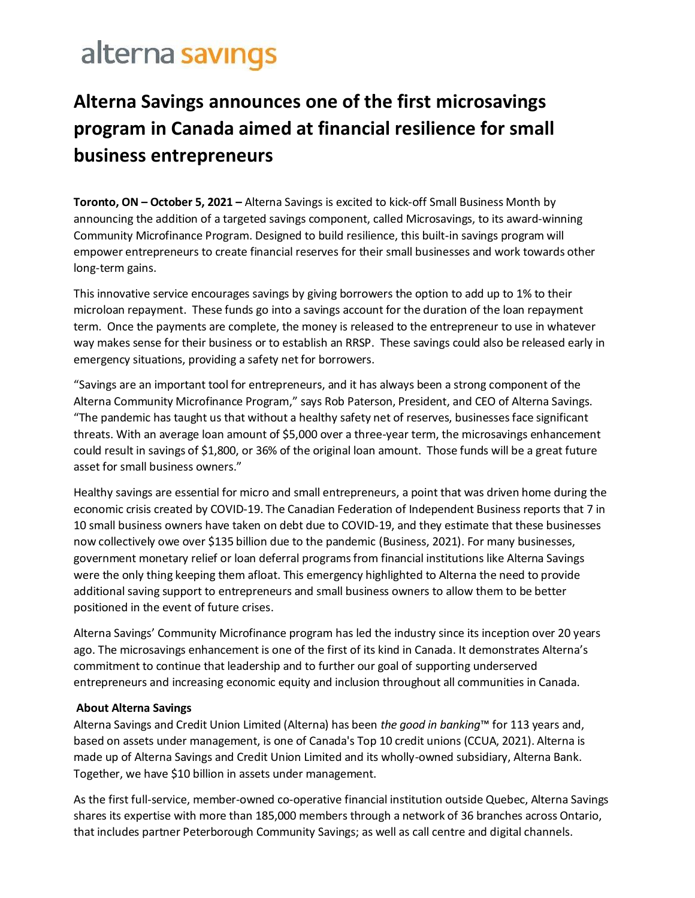## alterna savings

## **Alterna Savings announces one of the first microsavings program in Canada aimed at financial resilience for small business entrepreneurs**

 **Toronto, ON – October 5, 2021 –** Alterna Savings is excited to kick-off Small Business Month by announcing the addition of a targeted savings component, called Microsavings, to its award-winning Community Microfinance Program. Designed to build resilience, this built-in savings program will empower entrepreneurs to create financial reserves for their small businesses and work towards other long-term gains.

 This innovative service encourages savings by giving borrowers the option to add up to 1% to their microloan repayment. These funds go into a savings account for the duration of the loan repayment term. Once the payments are complete, the money is released to the entrepreneur to use in whatever way makes sense for their business or to establish an RRSP. These savings could also be released early in emergency situations, providing a safety net for borrowers.

"Savings are an important tool for entrepreneurs, and it has always been a strong component of the Alterna Community Microfinance Program," says Rob Paterson, President, and CEO of Alterna Savings. "The pandemic has taught us that without a healthy safety net of reserves, businesses face significant threats. With an average loan amount of \$5,000 over a three-year term, the microsavings enhancement could result in savings of \$1,800, or 36% of the original loan amount. Those funds will be a great future asset for small business owners."

 Healthy savings are essential for micro and small entrepreneurs, a point that was driven home during the economic crisis created by COVID-19. The Canadian Federation of Independent Business reports that 7 in 10 small business owners have taken on debt due to COVID-19, and they estimate that these businesses now collectively owe over \$135 billion due to the pandemic (Business, 2021). For many businesses, government monetary relief or loan deferral programs from financial institutions like Alterna Savings were the only thing keeping them afloat. This emergency highlighted to Alterna the need to provide additional saving support to entrepreneurs and small business owners to allow them to be better positioned in the event of future crises.

 Alterna Savings' Community Microfinance program has led the industry since its inception over 20 years ago. The microsavings enhancement is one of the first of its kind in Canada. It demonstrates Alterna's commitment to continue that leadership and to further our goal of supporting underserved entrepreneurs and increasing economic equity and inclusion throughout all communities in Canada.

## **About Alterna Savings**

 Alterna Savings and Credit Union Limited (Alterna) has been *the good in banking*™ for 113 years and, based on assets under management, is one of Canada's Top 10 credit unions (CCUA, 2021). Alterna is made up of Alterna Savings and Credit Union Limited and its wholly-owned subsidiary, Alterna Bank. Together, we have \$10 billion in assets under management.

 As the first full-service, member-owned co-operative financial institution outside Quebec, Alterna Savings shares its expertise with more than 185,000 members through a network of 36 branches across Ontario, that includes partner Peterborough Community Savings; as well as call centre and digital channels.